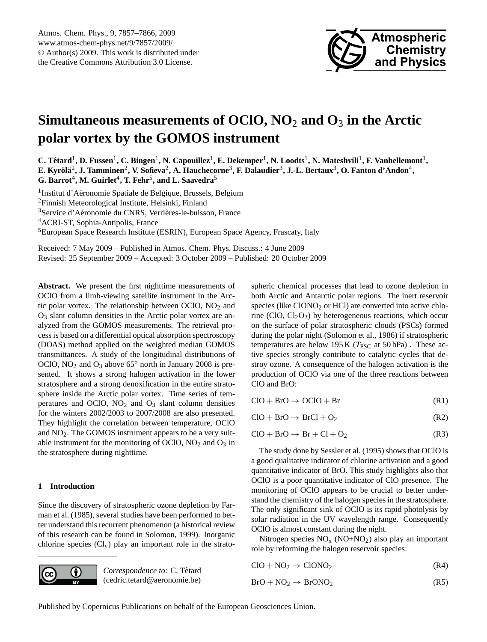

# <span id="page-0-2"></span>**Simultaneous measurements of OClO, NO**<sup>2</sup> **and O**<sup>3</sup> **in the Arctic polar vortex by the GOMOS instrument**

 $C$ . Tétard<sup>1</sup>, D. Fussen<sup>1</sup>, C. Bingen<sup>1</sup>, N. Capouillez<sup>1</sup>, E. Dekemper<sup>1</sup>, N. Loodts<sup>1</sup>, N. Mateshvili<sup>1</sup>, F. Vanhellemont<sup>1</sup>,  ${\bf E.~Kyr}$ ölä $^2$ , J. Tamminen $^2$ , V. Sofieva $^2$ , A. Hauchecorne $^3$ , F. Dalaudier $^3$ , J.-L. Bertaux $^3$ , O. Fanton d'Andon $^4$ ,  $\mathbf{G.}\ \mathbf{Barrot}^4,\mathbf{M.}\ \mathbf{Guirlet}^4,\mathbf{T.}\ \mathbf{Fehr}^5,\text{and}\ \mathbf{L.}\ \mathbf{Saavedra}^5$ 

<sup>1</sup>Institut d'Aéronomie Spatiale de Belgique, Brussels, Belgium

<sup>2</sup>Finnish Meteorological Institute, Helsinki, Finland

<sup>3</sup>Service d'Aéronomie du CNRS, Verrières-le-buisson, France

<sup>4</sup>ACRI-ST, Sophia-Antipolis, France

<sup>5</sup>European Space Research Institute (ESRIN), European Space Agency, Frascaty, Italy

Received: 7 May 2009 – Published in Atmos. Chem. Phys. Discuss.: 4 June 2009 Revised: 25 September 2009 – Accepted: 3 October 2009 – Published: 20 October 2009

**Abstract.** We present the first nighttime measurements of OClO from a limb-viewing satellite instrument in the Arctic polar vortex. The relationship between OClO,  $NO<sub>2</sub>$  and  $O<sub>3</sub>$  slant column densities in the Arctic polar vortex are analyzed from the GOMOS measurements. The retrieval process is based on a differential optical absorption spectroscopy (DOAS) method applied on the weighted median GOMOS transmittances. A study of the longitudinal distributions of OClO,  $NO<sub>2</sub>$  and  $O<sub>3</sub>$  above 65 $^{\circ}$  north in January 2008 is presented. It shows a strong halogen activation in the lower stratosphere and a strong denoxification in the entire stratosphere inside the Arctic polar vortex. Time series of temperatures and OClO,  $NO<sub>2</sub>$  and  $O<sub>3</sub>$  slant column densities for the winters 2002/2003 to 2007/2008 are also presented. They highlight the correlation between temperature, OClO and  $NO<sub>2</sub>$ . The GOMOS instrument appears to be a very suitable instrument for the monitoring of OClO,  $NO<sub>2</sub>$  and  $O<sub>3</sub>$  in the stratosphere during nighttime.

#### **1 Introduction**

Since the discovery of stratospheric ozone depletion by [Far](#page-8-0)[man et al.](#page-8-0) [\(1985\)](#page-8-0), several studies have been performed to better understand this recurrent phenomenon (a historical review of this research can be found in [Solomon,](#page-8-1) [1999\)](#page-8-1). Inorganic chlorine species  $(Cl_v)$  play an important role in the strato-



Correspondence to: C. Tétard (cedric.tetard@aeronomie.be)

spheric chemical processes that lead to ozone depletion in both Arctic and Antarctic polar regions. The inert reservoir species (like  $CIONO<sub>2</sub>$  or HCl) are converted into active chlorine (ClO,  $Cl<sub>2</sub>O<sub>2</sub>$ ) by heterogeneous reactions, which occur on the surface of polar stratospheric clouds (PSCs) formed during the polar night [\(Solomon et al.,](#page-8-2) [1986\)](#page-8-2) if stratospheric temperatures are below 195 K ( $T_{PSC}$  at 50 hPa). These active species strongly contribute to catalytic cycles that destroy ozone. A consequence of the halogen activation is the production of OClO via one of the three reactions between ClO and BrO:

$$
ClO + BrO \rightarrow OClO + Br
$$
 (R1)

$$
ClO + BrO \rightarrow BrCl + O_2 \tag{R2}
$$

$$
ClO + BrO \rightarrow Br + Cl + O_2 \tag{R3}
$$

The study done by [Sessler et al.](#page-8-3) [\(1995\)](#page-8-3) shows that OClO is a good qualitative indicator of chlorine activation and a good quantitative indicator of BrO. This study highlights also that OClO is a poor quantitative indicator of ClO presence. The monitoring of OClO appears to be crucial to better understand the chemistry of the halogen species in the stratosphere. The only significant sink of OClO is its rapid photolysis by solar radiation in the UV wavelength range. Consequently OClO is almost constant during the night.

Nitrogen species  $NO_x (NO+NO_2)$  also play an important role by reforming the halogen reservoir species:

<span id="page-0-0"></span> $ClO + NO<sub>2</sub> \rightarrow ClONO<sub>2</sub>$  (R4)

<span id="page-0-1"></span>
$$
BrO + NO_2 \rightarrow BrONO_2 \tag{R5}
$$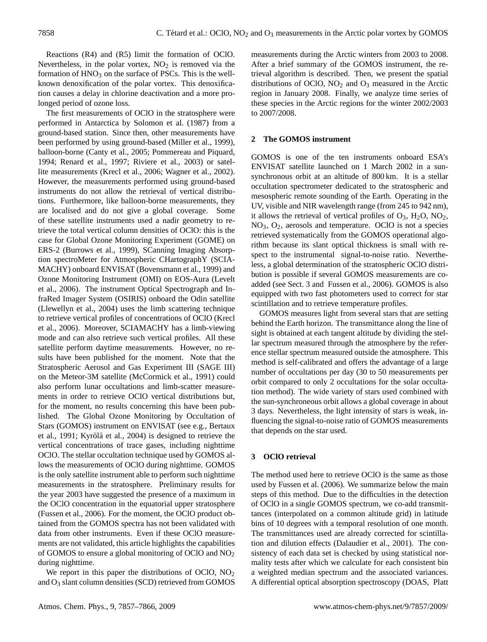Reactions [\(R4\)](#page-0-0) and [\(R5\)](#page-0-1) limit the formation of OClO. Nevertheless, in the polar vortex,  $NO<sub>2</sub>$  is removed via the formation of  $HNO<sub>3</sub>$  on the surface of PSCs. This is the wellknown denoxification of the polar vortex. This denoxification causes a delay in chlorine deactivation and a more prolonged period of ozone loss.

The first measurements of OClO in the stratosphere were performed in Antarctica by [Solomon et al.](#page-8-4) [\(1987\)](#page-8-4) from a ground-based station. Since then, other measurements have been performed by using ground-based [\(Miller et al.,](#page-8-5) [1999\)](#page-8-5), balloon-borne [\(Canty et al.,](#page-7-0) [2005;](#page-7-0) [Pommereau and Piquard,](#page-8-6) [1994;](#page-8-6) [Renard et al.,](#page-8-7) [1997;](#page-8-7) [Riviere et al.,](#page-8-8) [2003\)](#page-8-8) or satellite measurements [\(Krecl et al.,](#page-8-9) [2006;](#page-8-9) [Wagner et al.,](#page-9-0) [2002\)](#page-9-0). However, the measurements performed using ground-based instruments do not allow the retrieval of vertical distributions. Furthermore, like balloon-borne measurements, they are localised and do not give a global coverage. Some of these satellite instruments used a nadir geometry to retrieve the total vertical column densities of OClO: this is the case for Global Ozone Monitoring Experiment (GOME) on ERS-2 [\(Burrows et al.,](#page-7-1) [1999\)](#page-7-1), SCanning Imaging Absorption spectroMeter for Atmospheric CHartographY (SCIA-MACHY) onboard ENVISAT [\(Bovensmann et al.,](#page-7-2) [1999\)](#page-7-2) and Ozone Monitoring Instrument (OMI) on EOS-Aura [\(Levelt](#page-8-10) [et al.,](#page-8-10) [2006\)](#page-8-10). The instrument Optical Spectrograph and InfraRed Imager System (OSIRIS) onboard the Odin satellite [\(Llewellyn et al.,](#page-8-11) [2004\)](#page-8-11) uses the limb scattering technique to retrieve vertical profiles of concentrations of OClO [\(Krecl](#page-8-9) [et al.,](#page-8-9) [2006\)](#page-8-9). Moreover, SCIAMACHY has a limb-viewing mode and can also retrieve such vertical profiles. All these satellite perform daytime measurements. However, no results have been published for the moment. Note that the Stratospheric Aerosol and Gas Experiment III (SAGE III) on the Meteor-3M satellite [\(McCormick et al.,](#page-8-12) [1991\)](#page-8-12) could also perform lunar occultations and limb-scatter measurements in order to retrieve OClO vertical distributions but, for the moment, no results concerning this have been published. The Global Ozone Monitoring by Occultation of Stars (GOMOS) instrument on ENVISAT (see e.g., [Bertaux](#page-7-3) [et al.,](#page-7-3) [1991;](#page-7-3) Kyrölä et al., [2004\)](#page-8-13) is designed to retrieve the vertical concentrations of trace gases, including nighttime OClO. The stellar occultation technique used by GOMOS allows the measurements of OClO during nighttime. GOMOS is the only satellite instrument able to perform such nighttime measurements in the stratosphere. Preliminary results for the year 2003 have suggested the presence of a maximum in the OClO concentration in the equatorial upper stratosphere [\(Fussen et al.,](#page-8-14) [2006\)](#page-8-14). For the moment, the OClO product obtained from the GOMOS spectra has not been validated with data from other instruments. Even if these OClO measurements are not validated, this article highlights the capabilities of GOMOS to ensure a global monitoring of OClO and NO<sup>2</sup> during nighttime.

We report in this paper the distributions of OClO,  $NO<sub>2</sub>$ and O<sub>3</sub> slant column densities (SCD) retrieved from GOMOS measurements during the Arctic winters from 2003 to 2008. After a brief summary of the GOMOS instrument, the retrieval algorithm is described. Then, we present the spatial distributions of OClO,  $NO<sub>2</sub>$  and  $O<sub>3</sub>$  measured in the Arctic region in January 2008. Finally, we analyze time series of these species in the Arctic regions for the winter 2002/2003 to 2007/2008.

# **2 The GOMOS instrument**

GOMOS is one of the ten instruments onboard ESA's ENVISAT satellite launched on 1 March 2002 in a sunsynchronous orbit at an altitude of 800 km. It is a stellar occultation spectrometer dedicated to the stratospheric and mesospheric remote sounding of the Earth. Operating in the UV, visible and NIR wavelength range (from 245 to 942 nm), it allows the retrieval of vertical profiles of  $O_3$ ,  $H_2O$ ,  $NO_2$ , NO3, O2, aerosols and temperature. OClO is not a species retrieved systematically from the GOMOS operational algorithm because its slant optical thickness is small with respect to the instrumental signal-to-noise ratio. Nevertheless, a global determination of the stratospheric OClO distribution is possible if several GOMOS measurements are coadded (see Sect. [3](#page-1-0) and [Fussen et al.,](#page-8-14) [2006\)](#page-8-14). GOMOS is also equipped with two fast photometers used to correct for star scintillation and to retrieve temperature profiles.

GOMOS measures light from several stars that are setting behind the Earth horizon. The transmittance along the line of sight is obtained at each tangent altitude by dividing the stellar spectrum measured through the atmosphere by the reference stellar spectrum measured outside the atmosphere. This method is self-calibrated and offers the advantage of a large number of occultations per day (30 to 50 measurements per orbit compared to only 2 occultations for the solar occultation method). The wide variety of stars used combined with the sun-synchroneous orbit allows a global coverage in about 3 days. Nevertheless, the light intensity of stars is weak, influencing the signal-to-noise ratio of GOMOS measurements that depends on the star used.

# <span id="page-1-0"></span>**3 OClO retrieval**

The method used here to retrieve OClO is the same as those used by [Fussen et al.](#page-8-14) [\(2006\)](#page-8-14). We summarize below the main steps of this method. Due to the difficulties in the detection of OClO in a single GOMOS spectrum, we co-add transmittances (interpolated on a common altitude grid) in latitude bins of 10 degrees with a temporal resolution of one month. The transmittances used are already corrected for scintillation and dilution effects [\(Dalaudier et al.,](#page-7-4) [2001\)](#page-7-4). The consistency of each data set is checked by using statistical normality tests after which we calculate for each consistent bin a weighted median spectrum and the associated variances. A differential optical absorption spectroscopy (DOAS, [Platt](#page-8-15)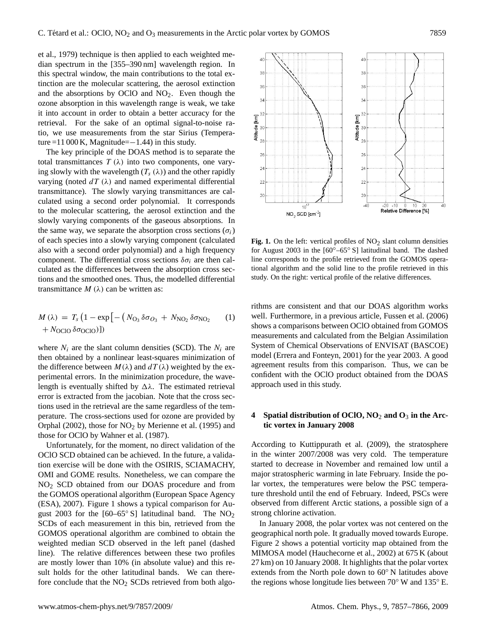[et al.,](#page-8-15) [1979\)](#page-8-15) technique is then applied to each weighted median spectrum in the [355–390 nm] wavelength region. In this spectral window, the main contributions to the total extinction are the molecular scattering, the aerosol extinction and the absorptions by OClO and  $NO<sub>2</sub>$ . Even though the ozone absorption in this wavelength range is weak, we take it into account in order to obtain a better accuracy for the retrieval. For the sake of an optimal signal-to-noise ratio, we use measurements from the star Sirius (Temperature =11 000 K, Magnitude= $-1.44$ ) in this study.

The key principle of the DOAS method is to separate the total transmittances  $T(\lambda)$  into two components, one varying slowly with the wavelength  $(T_s(\lambda))$  and the other rapidly varying (noted  $dT(\lambda)$  and named experimental differential transmittance). The slowly varying transmittances are calculated using a second order polynomial. It corresponds to the molecular scattering, the aerosol extinction and the slowly varying components of the gaseous absorptions. In the same way, we separate the absorption cross sections  $(\sigma_i)$ of each species into a slowly varying component (calculated also with a second order polynomial) and a high frequency component. The differential cross sections  $\delta \sigma_i$  are then calculated as the differences between the absorption cross sections and the smoothed ones. Thus, the modelled differential transmittance  $M(\lambda)$  can be written as:

$$
M(\lambda) = T_s \left(1 - \exp\left[-\left(N_{\text{O}_3} \delta \sigma_{\text{O}_3} + N_{\text{NO}_2} \delta \sigma_{\text{NO}_2}\right)\right]\right)
$$
  
+ 
$$
N_{\text{OClO}} \delta \sigma_{\text{OClO}})
$$
 (1)

where  $N_i$  are the slant column densities (SCD). The  $N_i$  are then obtained by a nonlinear least-squares minimization of the difference between  $M(\lambda)$  and  $dT(\lambda)$  weighted by the experimental errors. In the minimization procedure, the wavelength is eventually shifted by  $\Delta\lambda$ . The estimated retrieval error is extracted from the jacobian. Note that the cross sections used in the retrieval are the same regardless of the temperature. The cross-sections used for ozone are provided by [Orphal](#page-8-16) [\(2002\)](#page-8-16), those for  $NO<sub>2</sub>$  by [Merienne et al.](#page-8-17) [\(1995\)](#page-8-17) and those for OClO by [Wahner et al.](#page-9-1) [\(1987\)](#page-9-1).

Unfortunately, for the moment, no direct validation of the OClO SCD obtained can be achieved. In the future, a validation exercise will be done with the OSIRIS, SCIAMACHY, OMI and GOME results. Nonetheless, we can compare the NO<sup>2</sup> SCD obtained from our DOAS procedure and from the GOMOS operational algorithm [\(European Space Agency](#page-8-18) [\(ESA\),](#page-8-18) [2007\)](#page-8-18). Figure [1](#page-2-0) shows a typical comparison for August 2003 for the  $[60-65° S]$  latitudinal band. The NO<sub>2</sub> SCDs of each measurement in this bin, retrieved from the GOMOS operational algorithm are combined to obtain the weighted median SCD observed in the left panel (dashed line). The relative differences between these two profiles are mostly lower than 10% (in absolute value) and this result holds for the other latitudinal bands. We can therefore conclude that the  $NO<sub>2</sub>$  SCDs retrieved from both algo-

<span id="page-2-0"></span>**Fig. 1.** On the left: vertical profiles of  $NO<sub>2</sub>$  slant column densities for August 2003 in the [60◦–65◦ S] latitudinal band. The dashed line corresponds to the profile retrieved from the GOMOS operational algorithm and the solid line to the profile retrieved in this study. On the right: vertical profile of the relative differences.

rithms are consistent and that our DOAS algorithm works well. Furthermore, in a previous article, [Fussen et al.](#page-8-14) [\(2006\)](#page-8-14) shows a comparisons between OClO obtained from GOMOS measurements and calculated from the Belgian Assimilation System of Chemical Observations of ENVISAT (BASCOE) model [\(Errera and Fonteyn,](#page-7-5) [2001\)](#page-7-5) for the year 2003. A good agreement results from this comparison. Thus, we can be confident with the OClO product obtained from the DOAS approach used in this study.

### <span id="page-2-1"></span>**4 Spatial distribution of OClO, NO**<sup>2</sup> **and O**<sup>3</sup> **in the Arctic vortex in January 2008**

According to [Kuttippurath et al.](#page-8-19) [\(2009\)](#page-8-19), the stratosphere in the winter 2007/2008 was very cold. The temperature started to decrease in November and remained low until a major stratospheric warming in late February. Inside the polar vortex, the temperatures were below the PSC temperature threshold until the end of February. Indeed, PSCs were observed from different Arctic stations, a possible sign of a strong chlorine activation.

In January 2008, the polar vortex was not centered on the geographical north pole. It gradually moved towards Europe. Figure [2](#page-3-0) shows a potential vorticity map obtained from the MIMOSA model [\(Hauchecorne et al.,](#page-8-20) [2002\)](#page-8-20) at 675 K (about 27 km) on 10 January 2008. It highlights that the polar vortex extends from the North pole down to 60◦ N latitudes above the regions whose longitude lies between 70◦ W and 135◦ E.

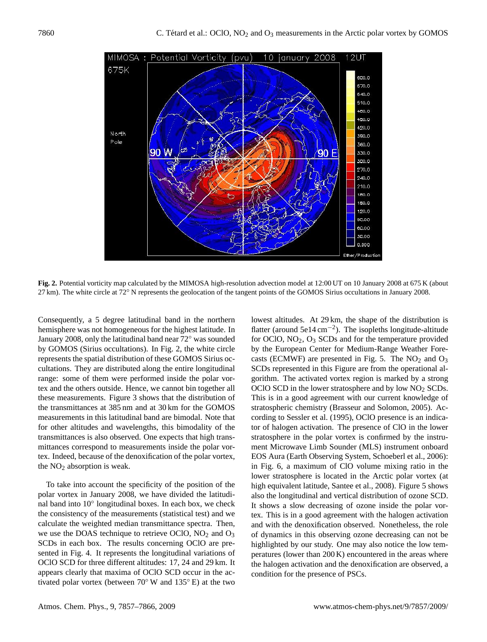

<span id="page-3-0"></span>**Fig. 2.** Potential vorticity map calculated by the MIMOSA high-resolution advection model at 12:00 UT on 10 January 2008 at 675 K (about 27 km). The white circle at 72◦ N represents the geolocation of the tangent points of the GOMOS Sirius occultations in January 2008.

Consequently, a 5 degree latitudinal band in the northern hemisphere was not homogeneous for the highest latitude. In January 2008, only the latitudinal band near 72◦ was sounded by GOMOS (Sirius occultations). In Fig. [2,](#page-3-0) the white circle represents the spatial distribution of these GOMOS Sirius occultations. They are distributed along the entire longitudinal range: some of them were performed inside the polar vortex and the others outside. Hence, we cannot bin together all these measurements. Figure [3](#page-4-0) shows that the distribution of the transmittances at 385 nm and at 30 km for the GOMOS measurements in this latitudinal band are bimodal. Note that for other altitudes and wavelengths, this bimodality of the transmittances is also observed. One expects that high transmittances correspond to measurements inside the polar vortex. Indeed, because of the denoxification of the polar vortex, the  $NO<sub>2</sub>$  absorption is weak.

To take into account the specificity of the position of the polar vortex in January 2008, we have divided the latitudinal band into 10° longitudinal boxes. In each box, we check the consistency of the measurements (statistical test) and we calculate the weighted median transmittance spectra. Then, we use the DOAS technique to retrieve OClO,  $NO<sub>2</sub>$  and  $O<sub>3</sub>$ SCDs in each box. The results concerning OClO are presented in Fig. [4.](#page-4-1) It represents the longitudinal variations of OClO SCD for three different altitudes: 17, 24 and 29 km. It appears clearly that maxima of OClO SCD occur in the activated polar vortex (between 70◦ W and 135◦ E) at the two

lowest altitudes. At 29 km, the shape of the distribution is flatter (around 5e14 cm−<sup>2</sup> ). The isopleths longitude-altitude for OClO, NO<sub>2</sub>, O<sub>3</sub> SCDs and for the temperature provided by the European Center for Medium-Range Weather Fore-casts (ECMWF) are presented in Fig. [5.](#page-5-0) The  $NO<sub>2</sub>$  and  $O<sub>3</sub>$ SCDs represented in this Figure are from the operational algorithm. The activated vortex region is marked by a strong OClO SCD in the lower stratosphere and by low  $NO<sub>2</sub>$  SCDs. This is in a good agreement with our current knowledge of stratospheric chemistry [\(Brasseur and Solomon,](#page-7-6) [2005\)](#page-7-6). According to [Sessler et al.](#page-8-3) [\(1995\)](#page-8-3), OClO presence is an indicator of halogen activation. The presence of ClO in the lower stratosphere in the polar vortex is confirmed by the instrument Microwave Limb Sounder (MLS) instrument onboard EOS Aura (Earth Observing System, [Schoeberl et al.,](#page-8-21) [2006\)](#page-8-21): in Fig. [6,](#page-5-1) a maximum of ClO volume mixing ratio in the lower stratosphere is located in the Arctic polar vortex (at high equivalent latitude, [Santee et al.,](#page-8-22) [2008\)](#page-8-22). Figure [5](#page-5-0) shows also the longitudinal and vertical distribution of ozone SCD. It shows a slow decreasing of ozone inside the polar vortex. This is in a good agreement with the halogen activation and with the denoxification observed. Nonetheless, the role of dynamics in this observing ozone decreasing can not be highlighted by our study. One may also notice the low temperatures (lower than 200 K) encountered in the areas where the halogen activation and the denoxification are observed, a condition for the presence of PSCs.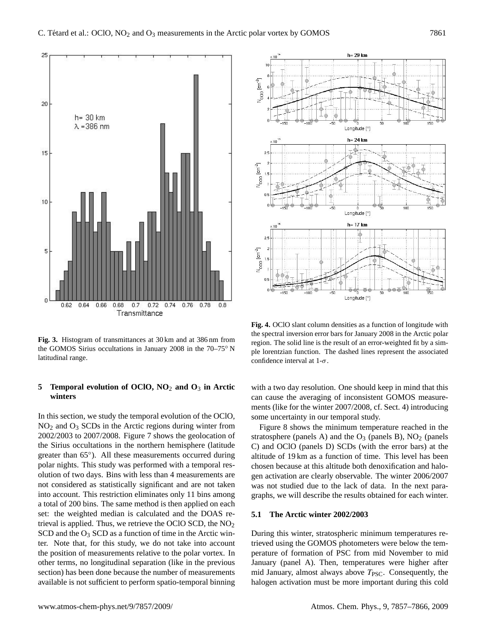

<span id="page-4-0"></span>**Fig. 3.** Histogram of transmittances at 30 km and at 386 nm from the GOMOS Sirius occultations in January 2008 in the 70–75◦ N latitudinal range.

# **5 Temporal evolution of OClO, NO**<sup>2</sup> **and O**<sup>3</sup> **in Arctic winters**

In this section, we study the temporal evolution of the OClO,  $NO<sub>2</sub>$  and  $O<sub>3</sub>$  SCDs in the Arctic regions during winter from 2002/2003 to 2007/2008. Figure [7](#page-5-2) shows the geolocation of the Sirius occultations in the northern hemisphere (latitude greater than 65°). All these measurements occurred during polar nights. This study was performed with a temporal resolution of two days. Bins with less than 4 measurements are not considered as statistically significant and are not taken into account. This restriction eliminates only 11 bins among a total of 200 bins. The same method is then applied on each set: the weighted median is calculated and the DOAS retrieval is applied. Thus, we retrieve the OClO SCD, the  $NO<sub>2</sub>$  $SCD$  and the  $O<sub>3</sub>$  SCD as a function of time in the Arctic winter. Note that, for this study, we do not take into account the position of measurements relative to the polar vortex. In other terms, no longitudinal separation (like in the previous section) has been done because the number of measurements available is not sufficient to perform spatio-temporal binning



<span id="page-4-1"></span>**Fig. 4.** OClO slant column densities as a function of longitude with the spectral inversion error bars for January 2008 in the Arctic polar region. The solid line is the result of an error-weighted fit by a simple lorentzian function. The dashed lines represent the associated confidence interval at  $1-\sigma$ .

with a two day resolution. One should keep in mind that this can cause the averaging of inconsistent GOMOS measurements (like for the winter 2007/2008, cf. Sect. [4\)](#page-2-1) introducing some uncertainty in our temporal study.

Figure [8](#page-6-0) shows the minimum temperature reached in the stratosphere (panels A) and the  $O_3$  (panels B),  $NO_2$  (panels C) and OClO (panels D) SCDs (with the error bars) at the altitude of 19 km as a function of time. This level has been chosen because at this altitude both denoxification and halogen activation are clearly observable. The winter 2006/2007 was not studied due to the lack of data. In the next paragraphs, we will describe the results obtained for each winter.

#### **5.1 The Arctic winter 2002/2003**

During this winter, stratospheric minimum temperatures retrieved using the GOMOS photometers were below the temperature of formation of PSC from mid November to mid January (panel A). Then, temperatures were higher after mid January, almost always above  $T_{PSC}$ . Consequently, the halogen activation must be more important during this cold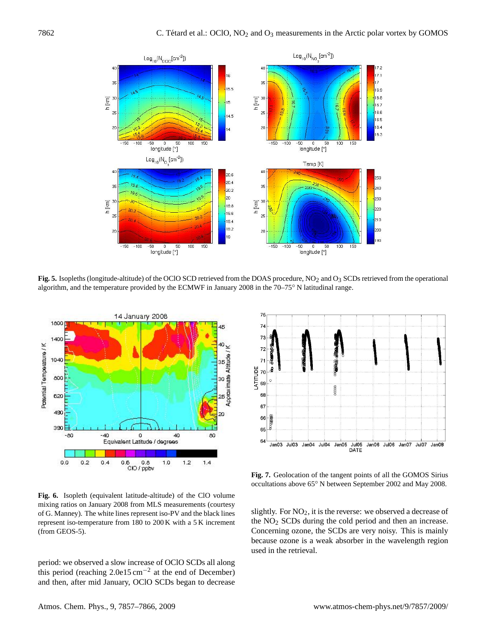

<span id="page-5-0"></span>Fig. 5. Isopleths (longitude-altitude) of the OClO SCD retrieved from the DOAS procedure, NO<sub>2</sub> and O<sub>3</sub> SCDs retrieved from the operational algorithm, and the temperature provided by the ECMWF in January 2008 in the 70–75◦ N latitudinal range.



<span id="page-5-1"></span>**Fig. 6.** Isopleth (equivalent latitude-altitude) of the ClO volume mixing ratios on January 2008 from MLS measurements (courtesy of G. Manney). The white lines represent iso-PV and the black lines represent iso-temperature from 180 to 200 K with a 5 K increment (from GEOS-5).

period: we observed a slow increase of OClO SCDs all along this period (reaching  $2.0e15 \text{ cm}^{-2}$  at the end of December) and then, after mid January, OClO SCDs began to decrease



<span id="page-5-2"></span>**Fig. 7.** Geolocation of the tangent points of all the GOMOS Sirius occultations above 65◦ N between September 2002 and May 2008.

slightly. For NO<sub>2</sub>, it is the reverse: we observed a decrease of the NO<sub>2</sub> SCDs during the cold period and then an increase. Concerning ozone, the SCDs are very noisy. This is mainly because ozone is a weak absorber in the wavelength region used in the retrieval.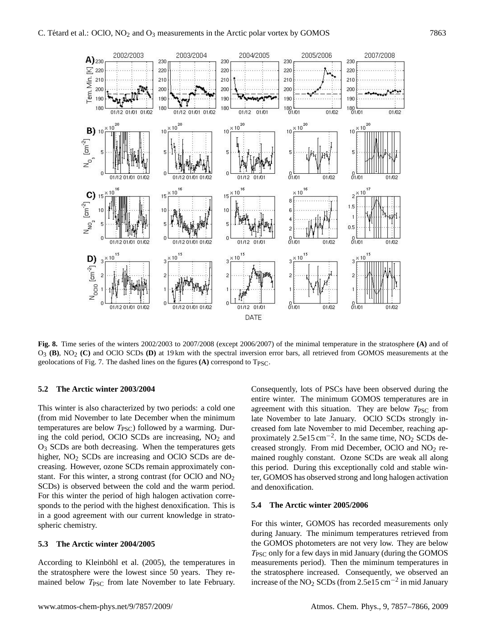

<span id="page-6-0"></span>**Fig. 8.** Time series of the winters 2002/2003 to 2007/2008 (except 2006/2007) of the minimal temperature in the stratosphere **(A)** and of O3 **(B)**, NO2 **(C)** and OClO SCDs **(D)** at 19 km with the spectral inversion error bars, all retrieved from GOMOS measurements at the geolocations of Fig. [7.](#page-5-2) The dashed lines on the figures  $(A)$  correspond to  $T_{PSC}$ .

#### **5.2 The Arctic winter 2003/2004**

This winter is also characterized by two periods: a cold one (from mid November to late December when the minimum temperatures are below  $T_{PSC}$ ) followed by a warming. During the cold period, OClO SCDs are increasing,  $NO<sub>2</sub>$  and  $O<sub>3</sub>$  SCDs are both decreasing. When the temperatures gets higher, NO<sub>2</sub> SCDs are increasing and OClO SCDs are decreasing. However, ozone SCDs remain approximately constant. For this winter, a strong contrast (for OClO and NO<sub>2</sub> SCDs) is observed between the cold and the warm period. For this winter the period of high halogen activation corresponds to the period with the highest denoxification. This is in a good agreement with our current knowledge in stratospheric chemistry.

#### **5.3 The Arctic winter 2004/2005**

According to Kleinböhl et al.  $(2005)$ , the temperatures in the stratosphere were the lowest since 50 years. They remained below T<sub>PSC</sub> from late November to late February.

Consequently, lots of PSCs have been observed during the entire winter. The minimum GOMOS temperatures are in agreement with this situation. They are below  $T_{PSC}$  from late November to late January. OClO SCDs strongly increased fom late November to mid December, reaching approximately  $2.5e15 \text{ cm}^{-2}$ . In the same time, NO<sub>2</sub> SCDs decreased strongly. From mid December, OClO and  $NO<sub>2</sub>$  remained roughly constant. Ozone SCDs are weak all along this period. During this exceptionally cold and stable winter, GOMOS has observed strong and long halogen activation and denoxification.

# **5.4 The Arctic winter 2005/2006**

For this winter, GOMOS has recorded measurements only during January. The minimum temperatures retrieved from the GOMOS photometers are not very low. They are below  $T_{PSC}$  only for a few days in mid January (during the GOMOS measurements period). Then the miminum temperatures in the stratosphere increased. Consequently, we observed an increase of the NO<sup>2</sup> SCDs (from 2.5e15 cm−<sup>2</sup> in mid January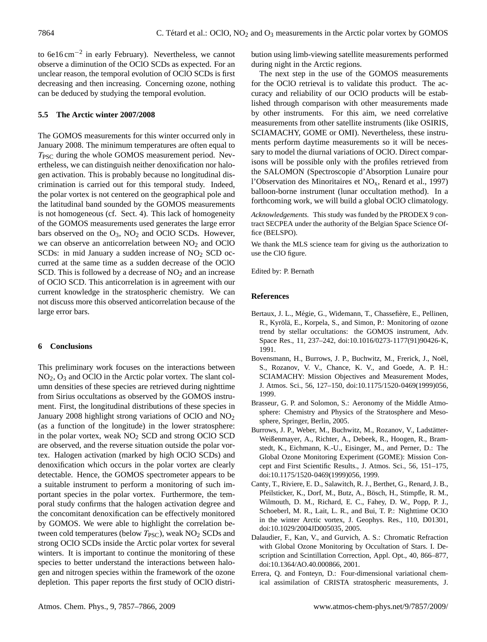to 6e16 cm<sup> $-2$ </sup> in early February). Nevertheless, we cannot observe a diminution of the OClO SCDs as expected. For an unclear reason, the temporal evolution of OClO SCDs is first decreasing and then increasing. Concerning ozone, nothing can be deduced by studying the temporal evolution.

# **5.5 The Arctic winter 2007/2008**

The GOMOS measurements for this winter occurred only in January 2008. The minimum temperatures are often equal to  $T_{PSC}$  during the whole GOMOS measurement period. Nevertheless, we can distinguish neither denoxification nor halogen activation. This is probably because no longitudinal discrimination is carried out for this temporal study. Indeed, the polar vortex is not centered on the geographical pole and the latitudinal band sounded by the GOMOS measurements is not homogeneous (cf. Sect. [4\)](#page-2-1). This lack of homogeneity of the GOMOS measurements used generates the large error bars observed on the  $O_3$ ,  $NO_2$  and OClO SCDs. However, we can observe an anticorrelation between  $NO<sub>2</sub>$  and  $OClO$ SCDs: in mid January a sudden increase of  $NO<sub>2</sub>$  SCD occurred at the same time as a sudden decrease of the OClO SCD. This is followed by a decrease of  $NO<sub>2</sub>$  and an increase of OClO SCD. This anticorrelation is in agreement with our current knowledge in the stratospheric chemistry. We can not discuss more this observed anticorrelation because of the large error bars.

# **6 Conclusions**

This preliminary work focuses on the interactions between NO2, O<sup>3</sup> and OClO in the Arctic polar vortex. The slant column densities of these species are retrieved during nighttime from Sirius occultations as observed by the GOMOS instrument. First, the longitudinal distributions of these species in January 2008 highlight strong variations of OClO and  $NO<sub>2</sub>$ (as a function of the longitude) in the lower stratosphere: in the polar vortex, weak  $NO<sub>2</sub>$  SCD and strong OClO SCD are observed, and the reverse situation outside the polar vortex. Halogen activation (marked by high OClO SCDs) and denoxification which occurs in the polar vortex are clearly detectable. Hence, the GOMOS spectrometer appears to be a suitable instrument to perform a monitoring of such important species in the polar vortex. Furthermore, the temporal study confirms that the halogen activation degree and the concomitant denoxification can be effectively monitored by GOMOS. We were able to highlight the correlation between cold temperatures (below  $T_{PSC}$ ), weak  $NO<sub>2</sub>$  SCDs and strong OClO SCDs inside the Arctic polar vortex for several winters. It is important to continue the monitoring of these species to better understand the interactions between halogen and nitrogen species within the framework of the ozone depletion. This paper reports the first study of OClO distribution using limb-viewing satellite measurements performed during night in the Arctic regions.

The next step in the use of the GOMOS measurements for the OClO retrieval is to validate this product. The accuracy and reliability of our OClO products will be established through comparison with other measurements made by other instruments. For this aim, we need correlative measurements from other satellite instruments (like OSIRIS, SCIAMACHY, GOME or OMI). Nevertheless, these instruments perform daytime measurements so it will be necessary to model the diurnal variations of OClO. Direct comparisons will be possible only with the profiles retrieved from the SALOMON (Spectroscopie d'Absorption Lunaire pour l'Observation des Minoritaires et  $NO<sub>x</sub>$ , [Renard et al.,](#page-8-24) [1997\)](#page-8-24) balloon-borne instrument (lunar occultation method). In a forthcoming work, we will build a global OClO climatology.

*Acknowledgements.* This study was funded by the PRODEX 9 contract SECPEA under the authority of the Belgian Space Science Office (BELSPO).

We thank the MLS science team for giving us the authorization to use the ClO figure.

Edited by: P. Bernath

# **References**

- <span id="page-7-3"></span>Bertaux, J. L., Mégie, G., Widemann, T., Chassefière, E., Pellinen, R., Kyrölä, E., Korpela, S., and Simon, P.: Monitoring of ozone trend by stellar occultations: the GOMOS instrument, Adv. Space Res., 11, 237–242, doi:10.1016/0273-1177(91)90426-K, 1991.
- <span id="page-7-2"></span>Bovensmann, H., Burrows, J. P., Buchwitz, M., Frerick, J., Noël, S., Rozanov, V. V., Chance, K. V., and Goede, A. P. H.: SCIAMACHY: Mission Objectives and Measurement Modes, J. Atmos. Sci., 56, 127–150, doi:10.1175/1520-0469(1999)056, 1999.
- <span id="page-7-6"></span>Brasseur, G. P. and Solomon, S.: Aeronomy of the Middle Atmosphere: Chemistry and Physics of the Stratosphere and Mesosphere, Springer, Berlin, 2005.
- <span id="page-7-1"></span>Burrows, J. P., Weber, M., Buchwitz, M., Rozanov, V., Ladstätter-Weißenmayer, A., Richter, A., Debeek, R., Hoogen, R., Bramstedt, K., Eichmann, K.-U., Eisinger, M., and Perner, D.: The Global Ozone Monitoring Experiment (GOME): Mission Concept and First Scientific Results., J. Atmos. Sci., 56, 151–175, doi:10.1175/1520-0469(1999)056, 1999.
- <span id="page-7-0"></span>Canty, T., Riviere, E. D., Salawitch, R. J., Berthet, G., Renard, J. B., Pfeilsticker, K., Dorf, M., Butz, A., Bösch, H., Stimpfle, R. M., Wilmouth, D. M., Richard, E. C., Fahey, D. W., Popp, P. J., Schoeberl, M. R., Lait, L. R., and Bui, T. P.: Nighttime OClO in the winter Arctic vortex, J. Geophys. Res., 110, D01301, doi:10.1029/2004JD005035, 2005.
- <span id="page-7-4"></span>Dalaudier, F., Kan, V., and Gurvich, A. S.: Chromatic Refraction with Global Ozone Monitoring by Occultation of Stars. I. Description and Scintillation Correction, Appl. Opt., 40, 866–877, doi:10.1364/AO.40.000866, 2001.
- <span id="page-7-5"></span>Errera, Q. and Fonteyn, D.: Four-dimensional variational chemical assimilation of CRISTA stratospheric measurements, J.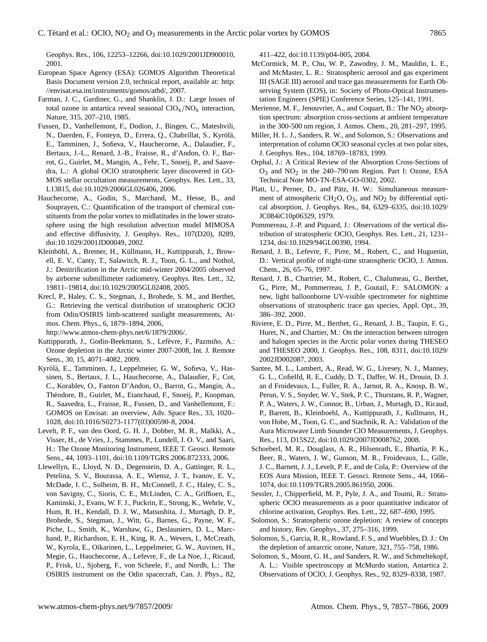Geophys. Res., 106, 12253–12266, doi:10.1029/2001JD900010, 2001.

- <span id="page-8-18"></span>European Space Agency (ESA): GOMOS Algorithm Theoretical Basis Document version 2.0, technical report, available at: [http:](http://envisat.esa.int/instruments/gomos/atbd/) [//envisat.esa.int/instruments/gomos/atbd/,](http://envisat.esa.int/instruments/gomos/atbd/) 2007.
- <span id="page-8-0"></span>Farman, J. C., Gardiner, G., and Shanklin, J. D.: Large losses of total ozone in antartica reveal seasonal  $ClO_X/NO_X$  interaction, Nature, 315, 207–210, 1985.
- <span id="page-8-14"></span>Fussen, D., Vanhellemont, F., Dodion, J., Bingen, C., Mateshvili, N., Daerden, F., Fonteyn, D., Errera, Q., Chabrillat, S., Kyrölä, E., Tamminen, J., Sofieva, V., Hauchecorne, A., Dalaudier, F., Bertaux, J.-L., Renard, J.-B., Fraisse, R., d'Andon, O. F., Barrot, G., Guirlet, M., Mangin, A., Fehr, T., Snoeij, P., and Saavedra, L.: A global OClO stratospheric layer discovered in GO-MOS stellar occultation measurements, Geophys. Res. Lett., 33, L13815, doi:10.1029/2006GL026406, 2006.
- <span id="page-8-20"></span>Hauchecorne, A., Godin, S., Marchand, M., Hesse, B., and Souprayen, C.: Quantification of the transport of chemical constituents from the polar vortex to midlatitudes in the lower stratosphere using the high resolution advection model MIMOSA and effective diffusivity, J. Geophys. Res., 107(D20), 8289, doi:10.1029/2001JD00049, 2002.
- <span id="page-8-23"></span>Kleinböhl, A., Bremer, H., Küllmann, H., Kuttippurah, J., Browell, E. V., Canty, T., Salawitch, R. J., Toon, G. L., and Nothol, J.: Denitrification in the Arctic mid-winter 2004/2005 observed by airborne submillimeter radiometry, Geophys. Res. Lett., 32, 19811–19814, doi:10.1029/2005GL02408, 2005.
- <span id="page-8-9"></span>Krecl, P., Haley, C. S., Stegman, J., Brohede, S. M., and Berthet, G.: Retrieving the vertical distribution of stratospheric OClO from Odin/OSIRIS limb-scattered sunlight measurements, Atmos. Chem. Phys., 6, 1879–1894, 2006,

[http://www.atmos-chem-phys.net/6/1879/2006/.](http://www.atmos-chem-phys.net/6/1879/2006/)

- <span id="page-8-19"></span>Kuttippurath, J., Godin-Beekmann, S., Lefèvre, F., Pazmiño, A.: Ozone depletion in the Arctic winter 2007-2008, Int. J. Remote Sens., 30, 15, 4071–4082, 2009.
- <span id="page-8-13"></span>Kyrölä, E., Tamminen, J., Leppelmeier, G. W., Sofieva, V., Hassinen, S., Bertaux, J. L., Hauchecorne, A., Dalaudier, F., Cot, C., Korablev, O., Fanton D'Andon, O., Barrot, G., Mangin, A., Theodore, B., Guirlet, M., Etanchaud, F., Snoeij, P., Koopman, ´ R., Saavedra, L., Fraisse, R., Fussen, D., and Vanhellemont, F.: GOMOS on Envisat: an overview, Adv. Space Res., 33, 1020– 1028, doi:10.1016/S0273-1177(03)00590-8, 2004.
- <span id="page-8-10"></span>Levelt, P. F., van den Oord, G. H. J., Dobber, M. R., Malkki, A., Visser, H., de Vries, J., Stammes, P., Lundell, J. O. V., and Saari, H.: The Ozone Monitoring Instrument, IEEE T. Geosci. Remote Sens., 44, 1093–1101, doi:10.1109/TGRS.2006.872333, 2006.
- <span id="page-8-11"></span>Llewellyn, E., Lloyd, N. D., Degenstein, D. A., Gattinger, R. L., Petelina, S. V., Bourassa, A. E., Wiensz, J. T., Ivanov, E. V., McDade, I. C., Solheim, B. H., McConnell, J. C., Haley, C. S., von Savigny, C., Sioris, C. E., McLinden, C. A., Griffioen, E., Kaminski, J., Evans, W. F. J., Puckrin, E., Strong, K., Wehrle, V., Hum, R. H., Kendall, D. J. W., Matsushita, J., Murtagh, D. P., Brohede, S., Stegman, J., Witt, G., Barnes, G., Payne, W. F., Piche, L., Smith, K., Warshaw, G., Deslauniers, D. L., Marchand, P., Richardson, E. H., King, R. A., Wevers, I., McCreath, W., Kyrola, E., Oikarinen, L., Leppelmeier, G. W., Auvinen, H., Megie, G., Hauchecorne, A., Lefevre, F., de La Noe, J., Ricaud, P., Frisk, U., Sjoberg, F., von Scheele, F., and Nordh, L.: The OSIRIS instrument on the Odin spacecraft, Can. J. Phys., 82,

411–422, doi:10.1139/p04-005, 2004.

- <span id="page-8-12"></span>McCormick, M. P., Chu, W. P., Zawodny, J. M., Mauldin, L. E., and McMaster, L. R.: Stratospheric aerosol and gas experiment III (SAGE III) aerosol and trace gas measurements for Earth Observing System (EOS), in: Society of Photo-Optical Instrumentation Engineers (SPIE) Conference Series, 125–141, 1991.
- <span id="page-8-17"></span>Merienne, M. F., Jenouvrier, A., and Coquart, B.: The NO<sub>2</sub> absorption spectrum: absorption cross-sections at ambient temperature in the 300-500 nm region, J. Atmos. Chem., 20, 281–297, 1995.
- <span id="page-8-5"></span>Miller, H. L. J., Sanders, R. W., and Solomon, S.: Observations and interpretation of column OClO seasonal cycles at two polar sites, J. Geophys. Res., 104, 18769–18783, 1999.
- <span id="page-8-16"></span>Orphal, J.: A Critical Review of the Absorption Cross-Sections of  $O_3$  and  $NO_2$  in the 240–790 nm Region. Part I: Ozone, ESA Technical Note MO-TN-ESA-GO-0302, 2002.
- <span id="page-8-15"></span>Platt, U., Perner, D., and Pätz, H. W.: Simultaneous measurement of atmospheric  $CH<sub>2</sub>O$ ,  $O<sub>3</sub>$ , and  $NO<sub>2</sub>$  by differential optical absorption, J. Geophys. Res., 84, 6329–6335, doi:10.1029/ JC084iC10p06329, 1979.
- <span id="page-8-6"></span>Pommereau, J.-P. and Piquard, J.: Observations of the vertical distribution of stratospheric OClO, Geophys. Res. Lett., 21, 1231– 1234, doi:10.1029/94GL00390, 1994.
- <span id="page-8-7"></span>Renard, J. B., Lefevre, F., Pirre, M., Robert, C., and Huguenin, D.: Vertical profile of night-time stratospheric OClO, J. Atmos. Chem., 26, 65–76, 1997.
- <span id="page-8-24"></span>Renard, J. B., Chartrier, M., Robert, C., Chalumeau, G., Berthet, G., Pirre, M., Pommerreau, J. P., Goutail, F.: SALOMON: a new, light balloonborne UV-visible spectrometer for nighttime observations of stratospheric trace gas species, Appl. Opt., 39, 386–392, 2000.
- <span id="page-8-8"></span>Riviere, E. D., Pirre, M., Berthet, G., Renard, J. B., Taupin, F. G., Huret, N., and Chartier, M.: On the interaction between nitrogen and halogen species in the Arctic polar vortex during THESEO and THESEO 2000, J. Geophys. Res., 108, 8311, doi:10.1029/ 2002JD002087, 2003.
- <span id="page-8-22"></span>Santee, M. L., Lambert, A., Read, W. G., Livesey, N. J., Manney, G. L., Cofielfd, R. E., Cuddy, D. T., Daffer, W. H., Drouin, D. J. an d Froidevaux, L., Fuller, R. A., Jarnot, R. A., Knosp, B. W., Perun, V. S., Snyder, W. V., Stek, P. C., Thurstans, R. P., Wagner, P. A., Waters, J. W., Connor, B., Urban, J., Murtagh, D., Ricaud, P., Barrett, B., Kleinboehl, A., Kuttippurath, J., Kullmann, H., von Hobe, M., Toon, G. C., and Stachnik, R. A.: Validation of the Aura Microwave Limb Sounder ClO Measurements, J. Geophys. Res., 113, D15S22, doi:10.1029/2007JD008762, 2008.
- <span id="page-8-21"></span>Schoeberl, M. R., Douglass, A. R., Hilsenrath, E., Bhartia, P. K., Beer, R., Waters, J. W., Gunson, M. R., Froidevaux, L., Gille, J. C., Barnett, J. J., Levelt, P. F., and de Cola, P.: Overview of the EOS Aura Mission, IEEE T. Geosci. Remote Sens., 44, 1066– 1074, doi:10.1109/TGRS.2005.861950, 2006.
- <span id="page-8-3"></span>Sessler, J., Chipperfield, M. P., Pyle, J. A., and Toumi, R.: Stratospheric OClO measurements as a poor quantitative indicator of chlorine activation, Geophys. Res. Lett., 22, 687–690, 1995.
- <span id="page-8-1"></span>Solomon, S.: Stratospheric ozone depletion: A review of concepts and history, Rev. Geophys., 37, 275–316, 1999.
- <span id="page-8-2"></span>Solomon, S., Garcia, R. R., Rowland, F. S., and Wuebbles, D. J.: On the depletion of antarctic ozone, Nature, 321, 755–758, 1986.
- <span id="page-8-4"></span>Solomon, S., Mount, G. H., and Sanders, R. W., and Schmeltekopf, A. L.: Visible spectroscopy at McMurdo station, Antartica 2. Observations of OClO, J. Geophys. Res., 92, 8329–8338, 1987.